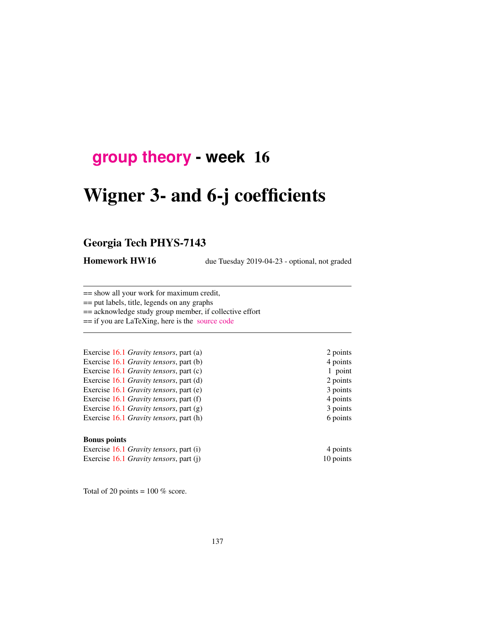## **[group theory](http://birdtracks.eu/courses/PHYS-7143-19/schedule.html) - week** 16

# Wigner 3- and 6-j coefficients

## Georgia Tech PHYS-7143

Homework HW16 due Tuesday 2019-04-23 - optional, not graded

== show all your work for maximum credit,

== put labels, title, legends on any graphs

== acknowledge study group member, if collective effort

== if you are LaTeXing, here is the [source code](http://birdtracks.eu/courses/PHYS-7143-19/exerWeek15.zip)

Exercise 16.1 *Gravity tensors*, part (a) 2 points Exercise 16.1 *Gravity tensors*, part (b) 4 points Exercise 16.1 *Gravity tensors*, part (c) 1 point Exercise 16.1 *Gravity tensors*, part (d) 2 points Exercise 16.1 *Gravity tensors*, part (e) 3 points Exercise 16.1 *Gravity tensors*, part (f) 4 points Exercise 16.1 *Gravity tensors*, part (g) 3 points Exercise 16.1 *Gravity tensors*, part (h) 6 points

#### Bonus points

Exercise 16.1 *Gravity tensors*, part (i) 4 points Exercise 16.1 *Gravity tensors*, part (j) 10 points

Total of 20 points =  $100\%$  score.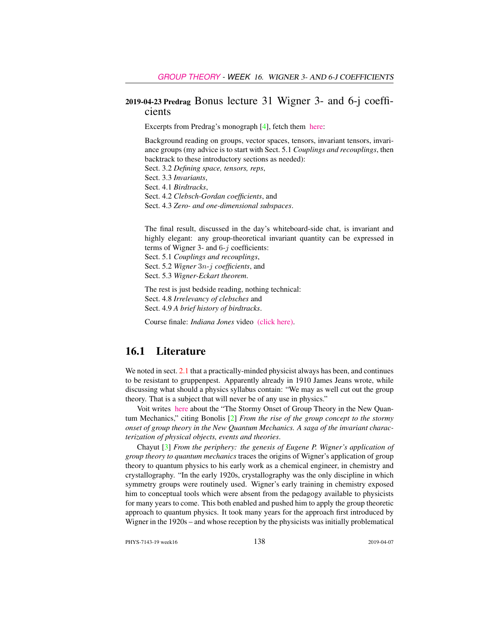#### 2019-04-23 Predrag Bonus lecture 31 Wigner 3- and 6-j coefficients

Excerpts from Predrag's monograph [4], fetch them [here:](http://birdtracks.eu/courses/PHYS-7143-19/week15lect30.pdf)

Background reading on groups, vector spaces, tensors, invariant tensors, invariance groups (my advice is to start with Sect. 5.1 *Couplings and recouplings*, then backtrack to these introductory sections as needed): Sect. 3.2 *Defining space, tensors, reps*, Sect. 3.3 *Invariants*, Sect. 4.1 *Birdtracks*, Sect. 4.2 *Clebsch-Gordan coefficients*, and

Sect. 4.3 *Zero- and one-dimensional subspaces*.

The final result, discussed in the day's whiteboard-side chat, is invariant and highly elegant: any group-theoretical invariant quantity can be expressed in terms of Wigner 3- and  $6-j$  coefficients:

Sect. 5.1 *Couplings and recouplings*, Sect. 5.2 *Wigner* 3n*-*j *coefficients*, and

Sect. 5.3 *Wigner-Eckart theorem*.

The rest is just bedside reading, nothing technical: Sect. 4.8 *Irrelevancy of clebsches* and Sect. 4.9 *A brief history of birdtracks*.

Course finale: *Indiana Jones* video [\(click here\).](https://www.youtube.com/embed/CvuoY_yPZeM)

## 16.1 Literature

We noted in sect. 2.1 that a practically-minded physicist always has been, and continues to be resistant to gruppenpest. Apparently already in 1910 James Jeans wrote, while discussing what should a physics syllabus contain: "We may as well cut out the group theory. That is a subject that will never be of any use in physics."

Voit writes [here](http://www.math.columbia.edu/~woit/wordpress/?p=191) about the "The Stormy Onset of Group Theory in the New Quantum Mechanics," citing Bonolis [2] *From the rise of the group concept to the stormy onset of group theory in the New Quantum Mechanics. A saga of the invariant characterization of physical objects, events and theories*.

Chayut [3] *From the periphery: the genesis of Eugene P. Wigner's application of group theory to quantum mechanics* traces the origins of Wigner's application of group theory to quantum physics to his early work as a chemical engineer, in chemistry and crystallography. "In the early 1920s, crystallography was the only discipline in which symmetry groups were routinely used. Wigner's early training in chemistry exposed him to conceptual tools which were absent from the pedagogy available to physicists for many years to come. This both enabled and pushed him to apply the group theoretic approach to quantum physics. It took many years for the approach first introduced by Wigner in the 1920s – and whose reception by the physicists was initially problematical

PHYS-7143-19 week16 138 2019-04-07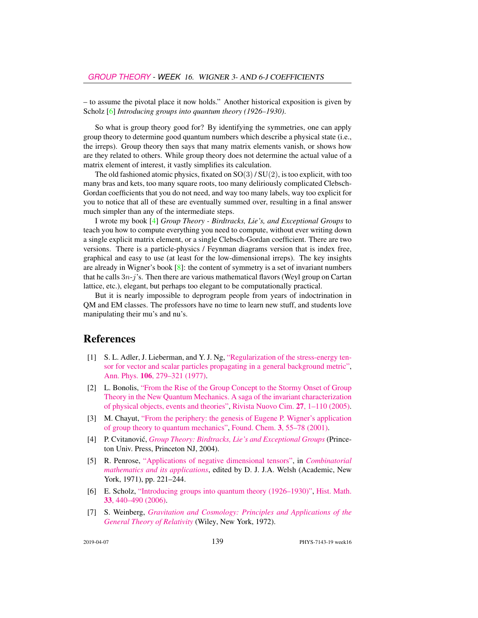– to assume the pivotal place it now holds." Another historical exposition is given by Scholz [6] *Introducing groups into quantum theory (1926–1930)*.

So what is group theory good for? By identifying the symmetries, one can apply group theory to determine good quantum numbers which describe a physical state (i.e., the irreps). Group theory then says that many matrix elements vanish, or shows how are they related to others. While group theory does not determine the actual value of a matrix element of interest, it vastly simplifies its calculation.

The old fashioned atomic physics, fixated on  $SO(3)/SU(2)$ , is too explicit, with too many bras and kets, too many square roots, too many deliriously complicated Clebsch-Gordan coefficients that you do not need, and way too many labels, way too explicit for you to notice that all of these are eventually summed over, resulting in a final answer much simpler than any of the intermediate steps.

I wrote my book [4] *Group Theory - Birdtracks, Lie's, and Exceptional Groups* to teach you how to compute everything you need to compute, without ever writing down a single explicit matrix element, or a single Clebsch-Gordan coefficient. There are two versions. There is a particle-physics / Feynman diagrams version that is index free, graphical and easy to use (at least for the low-dimensional irreps). The key insights are already in Wigner's book  $[8]$ : the content of symmetry is a set of invariant numbers that he calls  $3n-j$ 's. Then there are various mathematical flavors (Weyl group on Cartan lattice, etc.), elegant, but perhaps too elegant to be computationally practical.

But it is nearly impossible to deprogram people from years of indoctrination in QM and EM classes. The professors have no time to learn new stuff, and students love manipulating their mu's and nu's.

#### References

- [1] S. L. Adler, J. Lieberman, and Y. J. Ng, ["Regularization of the stress-energy ten](http://dx.doi.org/10.1016/0003-4916(77)90313-X)[sor for vector and scalar particles propagating in a general background metric",](http://dx.doi.org/10.1016/0003-4916(77)90313-X) Ann. Phys. 106[, 279–321 \(1977\).](http://dx.doi.org/10.1016/0003-4916(77)90313-X)
- [2] L. Bonolis, ["From the Rise of the Group Concept to the Stormy Onset of Group](https://www.researchgate.net/publication/234207946) [Theory in the New Quantum Mechanics. A saga of the invariant characterization](https://www.researchgate.net/publication/234207946) [of physical objects, events and theories",](https://www.researchgate.net/publication/234207946) [Rivista Nuovo Cim.](https://www.researchgate.net/publication/234207946) 27, 1–110 (2005).
- [3] M. Chayut, ["From the periphery: the genesis of Eugene P. Wigner's application](http://dx.doi.org/10.1023/A:1011431408763) [of group theory to quantum mechanics",](http://dx.doi.org/10.1023/A:1011431408763) Found. Chem. 3[, 55–78 \(2001\).](http://dx.doi.org/10.1023/A:1011431408763)
- [4] P. Cvitanovic,´ *[Group Theory: Birdtracks, Lie's and Exceptional Groups](https://press.princeton.edu/titles/8839.html)* (Princeton Univ. Press, Princeton NJ, 2004).
- [5] R. Penrose, ["Applications of negative dimensional tensors",](http://homepages.math.uic.edu/~kauffman/Penrose.pdf) in *[Combinatorial](http://homepages.math.uic.edu/~kauffman/Penrose.pdf) [mathematics and its applications](http://homepages.math.uic.edu/~kauffman/Penrose.pdf)*, edited by D. J. J.A. Welsh (Academic, New York, 1971), pp. 221–244.
- [6] E. Scholz, ["Introducing groups into quantum theory \(1926–1930\)",](http://dx.doi.org/10.1016/j.hm.2005.11.007) [Hist. Math.](http://dx.doi.org/10.1016/j.hm.2005.11.007) 33[, 440–490 \(2006\).](http://dx.doi.org/10.1016/j.hm.2005.11.007)
- [7] S. Weinberg, *[Gravitation and Cosmology: Principles and Applications of the](http://dx.doi.org/10.1119/1.1987308) [General Theory of Relativity](http://dx.doi.org/10.1119/1.1987308)* (Wiley, New York, 1972).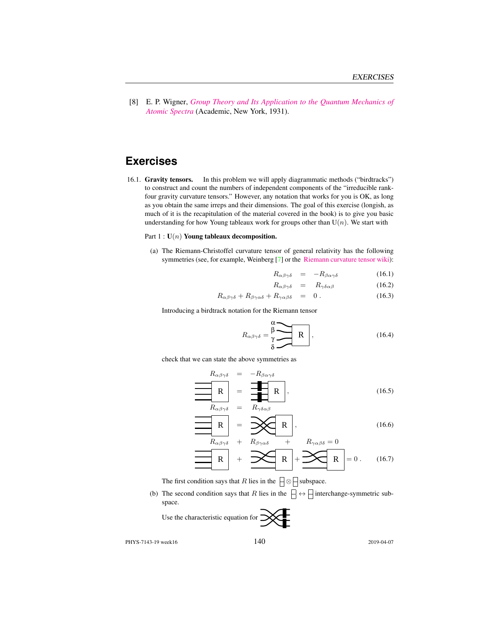[8] E. P. Wigner, *[Group Theory and Its Application to the Quantum Mechanics of](http://books.google.com/books?vid=ISBN9780323152785) [Atomic Spectra](http://books.google.com/books?vid=ISBN9780323152785)* (Academic, New York, 1931).

## **Exercises**

16.1. Gravity tensors. In this problem we will apply diagrammatic methods ("birdtracks") to construct and count the numbers of independent components of the "irreducible rankfour gravity curvature tensors." However, any notation that works for you is OK, as long as you obtain the same irreps and their dimensions. The goal of this exercise (longish, as much of it is the recapitulation of the material covered in the book) is to give you basic understanding for how Young tableaux work for groups other than  $U(n)$ . We start with

#### Part  $1: U(n)$  Young tableaux decomposition.

(a) The Riemann-Christoffel curvature tensor of general relativity has the following symmetries (see, for example, Weinberg [7] or the [Riemann curvature tensor wiki\)](https://en.wikipedia.org/wiki/Riemann_curvature_tensor):

$$
R_{\alpha\beta\gamma\delta} = -R_{\beta\alpha\gamma\delta} \tag{16.1}
$$

$$
R_{\alpha\beta\gamma\delta} = R_{\gamma\delta\alpha\beta} \tag{16.2}
$$

$$
R_{\alpha\beta\gamma\delta} + R_{\beta\gamma\alpha\delta} + R_{\gamma\alpha\beta\delta} = 0.
$$
 (16.3)

Introducing a birdtrack notation for the Riemann tensor

$$
R_{\alpha\beta\gamma\delta} = \frac{\beta}{\gamma} \begin{array}{c} \mathbf{R} \\ \mathbf{R} \end{array}, \tag{16.4}
$$

check that we can state the above symmetries as

$$
R_{\alpha\beta\gamma\delta} = -R_{\beta\alpha\gamma\delta}
$$
  
\n
$$
R = \frac{1}{\sqrt{1 - R}}
$$
  
\n
$$
R_{\alpha\beta\gamma\delta} = R_{\gamma\delta\alpha\beta}
$$
 (16.5)

$$
\begin{array}{c|c}\n\hline\n\mathbf{R} & = & \mathbf{R} \\
\hline\nR_{\alpha\beta\gamma\delta} & = & R_{\gamma\delta\alpha\beta} \\
\hline\n\mathbf{R} & = & \mathbf{R}\n\end{array} \tag{16.5}
$$
\n
$$
\mathbf{R} = \mathbf{R} \tag{16.6}
$$

$$
R_{\alpha\beta\gamma\delta} + R_{\beta\gamma\alpha\delta} + R_{\gamma\alpha\beta\delta} = 0
$$
  
R  
R  

$$
R + \sum R_{\gamma\alpha\beta\delta} = 0
$$
 (16.7)

The first condition says that R lies in the  $\Box \otimes \Box$  subspace.

(b) The second condition says that R lies in the  $\Box \leftrightarrow \Box$  interchange-symmetric subspace.

Use the characteristic equation for  $\mathbb{X}$ 

PHYS-7143-19 week16 140 2019-04-07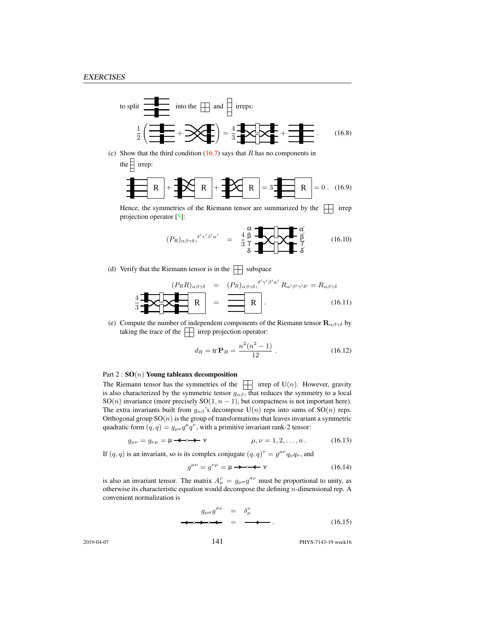to split 
$$
\frac{\overline{\mathbf{a}} \cdot \mathbf{b}}{2}
$$
 into the  $\boxed{\frac{1}{2} \cdot \overline{\mathbf{a}}}$  into the  $\boxed{\frac{1}{2} \cdot \overline{\mathbf{a}}}$  and  $\overline{\mathbf{a}} = \frac{1}{2} \cdot \overline{\mathbf{a}} \cdot \overline{\mathbf{a}}$  into the  $\boxed{\frac{1}{2} \cdot \overline{\mathbf{a}}}$  into the  $\boxed{\frac{1}{2} \cdot \overline{\mathbf{a}}}$  in the interval  $\overline{\mathbf{a}}$  is a function of  $\overline{\mathbf{a}}$ .

(c) Show that the third condition  $(16.7)$  says that R has no components in the  $\frac{1}{2}$  irrep:

$$
\mathbf{R} + \mathbf{R} + \mathbf{R} + \mathbf{R} + \mathbf{R}
$$

Hence, the symmetries of the Riemann tensor are summarized by the  $\Box$  irrep projection operator [5]:

$$
(P_R)_{\alpha\beta\gamma\delta}, \delta'\gamma'\beta'\alpha' = \frac{4}{3}\frac{\beta}{\gamma} \sqrt{\frac{4}{\gamma}} \sqrt{\frac{4}{\gamma}} \frac{\alpha'}{\gamma}
$$
 (16.10)

(d) Verify that the Riemann tensor is in the  $\Box$  subspace

$$
\left\{\mathbf{R}R\right\}_{\alpha\beta\gamma\delta} = (P_R)_{\alpha\beta\gamma\delta}, \delta'\gamma'\beta'\alpha' R_{\alpha'\beta'\gamma'\delta'} = R_{\alpha\beta\gamma\delta}
$$
\n
$$
\frac{4}{3} \mathbf{R} \mathbf{R} = \mathbf{R} \mathbf{R}.
$$
\n(16.11)

(e) Compute the number of independent components of the Riemann tensor  $\mathbf{R}_{\alpha\beta\gamma\delta}$  by taking the trace of the  $\Box$  irrep projection operator:

$$
d_R = \text{tr}\,\mathbf{P}_R = \frac{n^2(n^2 - 1)}{12} \,. \tag{16.12}
$$

#### Part  $2: SO(n)$  Young tableaux decomposition

The Riemann tensor has the symmetries of the  $\|\cdot\|$  irrep of U(n). However, gravity is also characterized by the symmetric tensor  $g_{\alpha\beta}$ , that reduces the symmetry to a local SO(*n*) invariance (more precisely SO(1,  $n - 1$ ), but compactness is not important here). The extra invariants built from  $g_{\alpha\beta}$ 's decompose U(n) reps into sums of SO(n) reps. Orthogonal group  $SO(n)$  is the group of transformations that leaves invariant a symmetric quadratic form  $(q, q) = g_{\mu\nu}q^{\mu}q^{\nu}$ , with a primitive invariant rank-2 tensor:

$$
g_{\mu\nu} = g_{\nu\mu} = \mu \longrightarrow \mathbf{v} \qquad \qquad \mu, \nu = 1, 2, \dots, n \,. \tag{16.13}
$$

If  $(q, q)$  is an invariant, so is its complex conjugate  $(q, q)^* = g^{\mu\nu} q_\mu q_\nu$ , and

g µν = g νµ = µ ν (16.14)

is also an invariant tensor. The matrix  $A^{\nu}_{\mu} = g_{\mu\sigma} g^{\sigma\nu}$  must be proportional to unity, as otherwise its characteristic equation would decompose the defining  $n$ -dimensional rep. A convenient normalization is

$$
g_{\mu\sigma}g^{\sigma\nu} = \delta^{\nu}_{\mu}
$$
  
\n
$$
\Leftrightarrow \Leftrightarrow \Leftrightarrow \Leftrightarrow = \Leftrightarrow \Leftrightarrow \qquad (16.15)
$$

2019-04-07 141 PHYS-7143-19 week16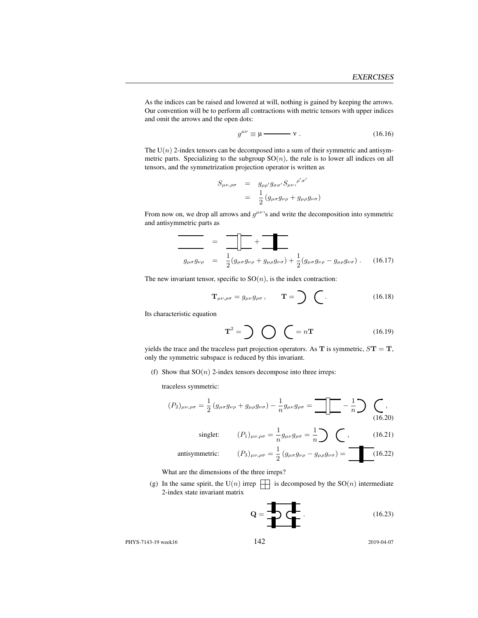As the indices can be raised and lowered at will, nothing is gained by keeping the arrows. Our convention will be to perform all contractions with metric tensors with upper indices and omit the arrows and the open dots:

$$
g^{\mu\nu} \equiv \mu \longrightarrow \mathbf{v} \ . \tag{16.16}
$$

The  $U(n)$  2-index tensors can be decomposed into a sum of their symmetric and antisymmetric parts. Specializing to the subgroup  $SO(n)$ , the rule is to lower all indices on all tensors, and the symmetrization projection operator is written as

$$
S_{\mu\nu,\rho\sigma} = g_{\rho\rho'} g_{\sigma\sigma'} S_{\mu\nu,}^{\rho'\sigma'}
$$
  
= 
$$
\frac{1}{2} (g_{\mu\sigma} g_{\nu\rho} + g_{\mu\rho} g_{\nu\sigma})
$$

From now on, we drop all arrows and  $g^{\mu\nu}$ 's and write the decomposition into symmetric and antisymmetric parts as

$$
g_{\mu\sigma}g_{\nu\rho} = \frac{1}{2}(g_{\mu\sigma}g_{\nu\rho} + g_{\mu\rho}g_{\nu\sigma}) + \frac{1}{2}(g_{\mu\sigma}g_{\nu\rho} - g_{\mu\rho}g_{\nu\sigma}).
$$
 (16.17)

The new invariant tensor, specific to  $SO(n)$ , is the index contraction:

$$
\mathbf{T}_{\mu\nu,\rho\sigma} = g_{\mu\nu} g_{\rho\sigma}, \qquad \mathbf{T} = \sum \quad (16.18)
$$

Its characteristic equation

$$
\mathbf{T}^2 = \sum \bigotimes \bigotimes = n\mathbf{T} \tag{16.19}
$$

yields the trace and the traceless part projection operators. As  $T$  is symmetric,  $S T = T$ , only the symmetric subspace is reduced by this invariant.

(f) Show that  $SO(n)$  2-index tensors decompose into three irreps:

traceless symmetric:

$$
(P_2)_{\mu\nu,\rho\sigma} = \frac{1}{2} \left( g_{\mu\sigma} g_{\nu\rho} + g_{\mu\rho} g_{\nu\sigma} \right) - \frac{1}{n} g_{\mu\nu} g_{\rho\sigma} = \boxed{\phantom{1}} - \frac{1}{n} \rightarrow \boxed{\phantom{1}} \tag{16.20}
$$

singlet: 
$$
(P_1)_{\mu\nu,\rho\sigma} = \frac{1}{n} g_{\mu\nu} g_{\rho\sigma} = \frac{1}{n} \sum \bigodot,
$$
 (16.21)

antisymmetric:

$$
(P_1)_{\mu\nu,\rho\sigma} = \frac{1}{n} g_{\mu\nu} g_{\rho\sigma} = \frac{1}{n} \sum \qquad (16.21)
$$
\n
$$
(P_3)_{\mu\nu,\rho\sigma} = \frac{1}{2} (g_{\mu\sigma} g_{\nu\rho} - g_{\mu\rho} g_{\nu\sigma}) = \boxed{\qquad (16.22)}
$$

What are the dimensions of the three irreps?

(g) In the same spirit, the U(n) irrep  $\Box$  is decomposed by the SO(n) intermediate 2-index state invariant matrix

$$
\mathbf{Q} = \begin{array}{c} \hline \textbf{Q} \\ \hline \textbf{Q} \end{array} \tag{16.23}
$$

PHYS-7143-19 week16 142 2019-04-07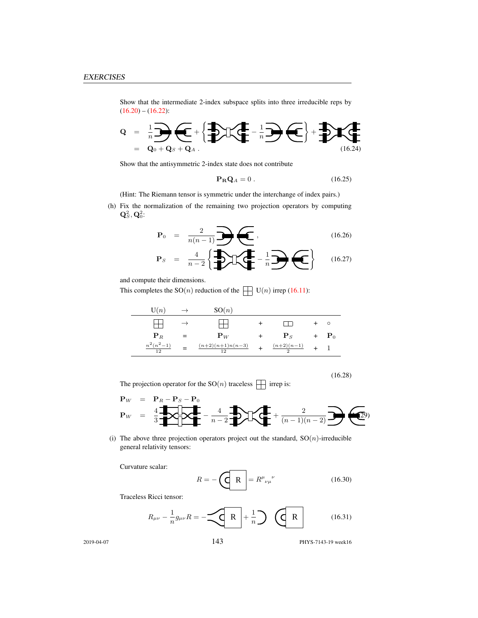Show that the intermediate 2-index subspace splits into three irreducible reps by  $(16.20) - (16.22)$ :

$$
Q = \frac{1}{n} \sum_{\mathbf{Q}_0 + \mathbf{Q}_S + \mathbf{Q}_A} \left\{ \sum_{i=1}^{n} \mathbf{I} \left( \sum_{i=1}^{n} \mathbf{I} \right) \left( \sum_{i=1}^{n} \mathbf{I} \right) \right\} + \sum_{i=1}^{n} \mathbf{I} \left( \sum_{i=1}^{n} \mathbf{I} \right)
$$

Show that the antisymmetric 2-index state does not contribute

$$
\mathbf{P}_{\mathbf{R}}\mathbf{Q}_A = 0. \tag{16.25}
$$

(Hint: The Riemann tensor is symmetric under the interchange of index pairs.)

(h) Fix the normalization of the remaining two projection operators by computing  $\mathbf{Q}^2_S, \mathbf{Q}^2_0$ :

$$
\mathbf{P}_0 = \frac{2}{n(n-1)} \sum \left( \frac{1}{n} \right) \left( \frac{16.26}{n} \right)
$$
 (16.26)

$$
\mathbf{P}_S = \frac{4}{n-2} \left\{ \frac{1}{2} \sum \left( \frac{1}{n} - \frac{1}{n} \right) \left( \frac{1}{n} - \frac{1}{n} \right) \right\} \qquad (16.27)
$$

and compute their dimensions.

This completes the  $SO(n)$  reduction of the  $\Box$  U(n) irrep (16.11):

| U(n)               |     | SO(n)                    |                        |                    |
|--------------------|-----|--------------------------|------------------------|--------------------|
|                    |     |                          |                        | $\circ$            |
| ${\bf P}_R$        | $=$ | ${\bf P}_W$              | ${\bf P}_S$            | $+$ $\mathbf{P}_0$ |
| $n^2(n^2-1)$<br>12 | $=$ | $(n+2)(n+1)n(n-3)$<br>12 | $\frac{(n+2)(n-1)}{2}$ |                    |

The projection operator for the  $\mathrm{SO}(n)$  traceless  $\,\prod\,$  irrep is:

$$
\mathbf{P}_W = \mathbf{P}_R - \mathbf{P}_S - \mathbf{P}_0
$$
  

$$
\mathbf{P}_W = \frac{4}{3} \sum_{n=1}^{M} \sum_{n=1}^{M} \mathbf{P}_n - \frac{4}{n-2} \sum_{n=1}^{M} \sum_{n=1}^{M} \mathbf{P}_n - \frac{2}{(n-1)(n-2)} \sum_{n=1}^{M} \mathbf{P}_n
$$

(i) The above three projection operators project out the standard,  $SO(n)$ -irreducible general relativity tensors:

Curvature scalar:

$$
R = -\left(\begin{array}{c|c}\n\hline\nR\n\end{array}\right) = R^{\mu}{}_{\nu\mu}{}^{\nu} \tag{16.30}
$$

Traceless Ricci tensor:

$$
R_{\mu\nu} - \frac{1}{n}g_{\mu\nu}R = -\underbrace{\left(\mathbf{R}\right)} + \frac{1}{n}\bigg) \quad \underbrace{\left(\mathbf{R}\right)} \tag{16.31}
$$

2019-04-07 143 PHYS-7143-19 week16

(16.28)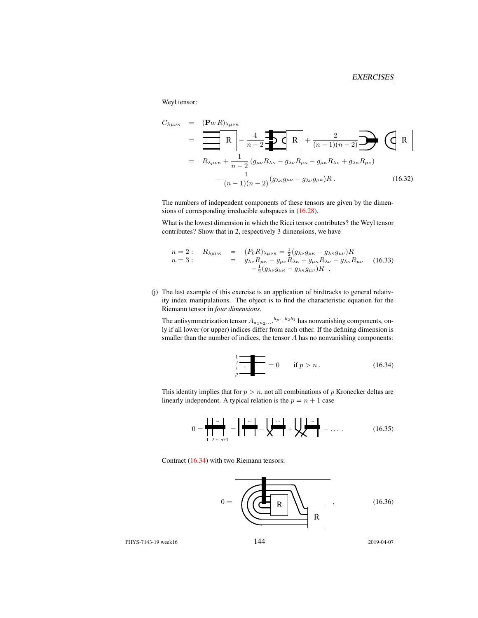Weyl tensor:

$$
C_{\lambda\mu\nu\kappa} = (\mathbf{P}_{W}R)_{\lambda\mu\nu\kappa}
$$
  
=  $\frac{\mathbf{R}}{\mathbf{R}} - \frac{4}{n-2} \mathbf{I}(\mathbf{R}) + \frac{2}{(n-1)(n-2)} \mathbf{I}(\mathbf{R})$   
=  $R_{\lambda\mu\nu\kappa} + \frac{1}{n-2} (g_{\mu\nu}R_{\lambda\kappa} - g_{\lambda\nu}R_{\mu\kappa} - g_{\mu\kappa}R_{\lambda\nu} + g_{\lambda\kappa}R_{\mu\nu})$   
 $- \frac{1}{(n-1)(n-2)} (g_{\lambda\kappa}g_{\mu\nu} - g_{\lambda\nu}g_{\mu\kappa})R$ . (16.32)

The numbers of independent components of these tensors are given by the dimensions of corresponding irreducible subspaces in (16.28).

What is the lowest dimension in which the Ricci tensor contributes? the Weyl tensor contributes? Show that in 2, respectively 3 dimensions, we have

$$
n = 2: \quad R_{\lambda\mu\nu\kappa} = (P_0 R)_{\lambda\mu\nu\kappa} = \frac{1}{2} (g_{\lambda\nu} g_{\mu\kappa} - g_{\lambda\kappa} g_{\mu\nu}) R
$$
  
\n
$$
n = 3: \quad = g_{\lambda\nu} R_{\mu\kappa} - g_{\mu\nu} R_{\lambda\kappa} + g_{\mu\kappa} R_{\lambda\nu} - g_{\lambda\kappa} R_{\mu\nu} \quad (16.33)
$$
  
\n
$$
-\frac{1}{2} (g_{\lambda\nu} g_{\mu\kappa} - g_{\lambda\kappa} g_{\mu\nu}) R
$$

(j) The last example of this exercise is an application of birdtracks to general relativity index manipulations. The object is to find the characteristic equation for the Riemann tensor in *four dimensions*.

The antisymmetrization tensor  $A_{a_1 a_2 ...}, {}^{b_p...b_2 b_1}$  has nonvanishing components, only if all lower (or upper) indices differ from each other. If the defining dimension is smaller than the number of indices, the tensor A has no nonvanishing components:

$$
\frac{1}{2} = 0 \quad \text{if } p > n. \tag{16.34}
$$

This identity implies that for  $p > n$ , not all combinations of p Kronecker deltas are linearly independent. A typical relation is the  $p = n + 1$  case

$$
0 = \frac{\mathbf{1} \cdot \mathbf{1} \cdot \mathbf{1}}{\mathbf{1} \cdot \mathbf{1} \cdot \mathbf{1} \cdot \mathbf{1}} = \mathbf{1} \cdot \mathbf{1} \cdot \mathbf{1} \cdot \mathbf{1} + \mathbf{1} \cdot \mathbf{1} \cdot \mathbf{1} + \mathbf{1} \cdot \mathbf{1} \cdot \mathbf{1} + \mathbf{1} \cdot \mathbf{1} \cdot \mathbf{1} + \mathbf{1} \cdot \mathbf{1} \cdot \mathbf{1} + \mathbf{1} \cdot \mathbf{1} + \mathbf{1} \cdot \mathbf{1} + \mathbf{1} \cdot \mathbf{1} + \mathbf{1} \cdot \mathbf{1} + \mathbf{1} \cdot \mathbf{1} + \mathbf{1} \cdot \mathbf{1} + \mathbf{1} \cdot \mathbf{1} + \mathbf{1} \cdot \mathbf{1} + \mathbf{1} \cdot \mathbf{1} + \mathbf{1} \cdot \mathbf{1} + \mathbf{1} \cdot \mathbf{1} + \mathbf{1} \cdot \mathbf{1} + \mathbf{1} \cdot \mathbf{1} + \mathbf{1} \cdot \mathbf{1} + \mathbf{1} \cdot \mathbf{1} + \mathbf{1} \cdot \mathbf{1} + \mathbf{1} \cdot \mathbf{1} + \mathbf{1} \cdot \mathbf{1} + \mathbf{1} \cdot \mathbf{1} + \mathbf{1} \cdot \mathbf{1} + \mathbf{1} \cdot \mathbf{1} + \mathbf{1} \cdot \mathbf{1} + \mathbf{1} \cdot \mathbf{1} + \mathbf{1} \cdot \mathbf{1} + \mathbf{1} \cdot \mathbf{1} + \mathbf{1} \cdot \mathbf{1} + \mathbf{1} \cdot \mathbf{1} + \mathbf{1} \cdot \mathbf{1} + \mathbf{1} \cdot \mathbf{1} + \mathbf{1} \cdot \mathbf{1} + \mathbf{1} \cdot \mathbf{1} + \mathbf{1} \cdot \mathbf{1} + \mathbf{1} \cdot \mathbf{1} + \mathbf{1} \cdot \mathbf{1} + \mathbf{1} \cdot \mathbf{1} + \mathbf{1} \cdot \mathbf{1} + \mathbf{1} \cdot \mathbf{1} + \mathbf{1} \cdot \mathbf{1} + \mathbf{1} \cdot \
$$

Contract (16.34) with two Riemann tensors:



PHYS-7143-19 week16 144 2019-04-07